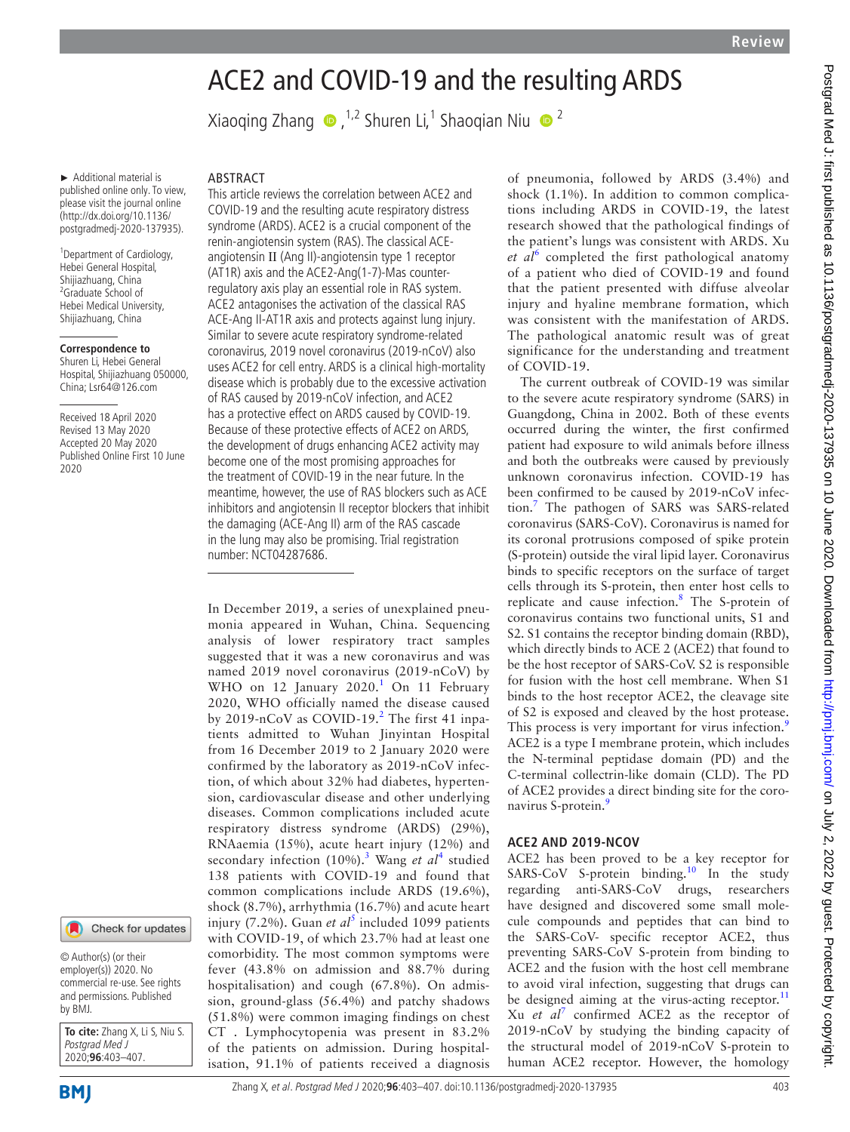# ACE2 and COVID-19 and the resulting ARDS

XiaoqingZhang  $\bigcirc$ ,<sup>1,2</sup> Shuren Li,<sup>1</sup> Shaoqian Niu  $\bigcirc$ <sup>2</sup>

► Additional material is published online only. To view, please visit the journal online (http://dx.doi.org/10.1136/ postgradmedj-2020-137935).

<sup>1</sup> Department of Cardiology, Hebei General Hospital, Shijiazhuang, China <sup>2</sup>Graduate School of Hebei Medical University, Shijiazhuang, China

#### **Correspondence to**

Shuren Li, Hebei General Hospital, Shijiazhuang 050000, China; Lsr64@126.com

Received 18 April 2020 Revised 13 May 2020 Accepted 20 May 2020 Published Online First 10 June 2020



© Author(s) (or their employer(s)) 2020. No commercial re-use. See rights and permissions. Published by BMJ.

**To cite:** Zhang X, Li S, Niu S. Postgrad Med J 2020;**96**:403–407.

**BMI** 

## **ABSTRACT**

This article reviews the correlation between ACE2 and COVID-19 and the resulting acute respiratory distress syndrome (ARDS). ACE2 is a crucial component of the renin-angiotensin system (RAS). The classical ACEangiotensin Ⅱ (Ang II)-angiotensin type 1 receptor (AT1R) axis and the ACE2-Ang(1-7)-Mas counterregulatory axis play an essential role in RAS system. ACE2 antagonises the activation of the classical RAS ACE-Ang II-AT1R axis and protects against lung injury. Similar to severe acute respiratory syndrome-related coronavirus, 2019 novel coronavirus (2019-nCoV) also uses ACE2 for cell entry. ARDS is a clinical high-mortality disease which is probably due to the excessive activation of RAS caused by 2019-nCoV infection, and ACE2 has a protective effect on ARDS caused by COVID-19. Because of these protective effects of ACE2 on ARDS, the development of drugs enhancing ACE2 activity may become one of the most promising approaches for the treatment of COVID-19 in the near future. In the meantime, however, the use of RAS blockers such as ACE inhibitors and angiotensin II receptor blockers that inhibit the damaging (ACE-Ang II) arm of the RAS cascade in the lung may also be promising. Trial registration number: NCT04287686.

In December 2019, a series of unexplained pneumonia appeared in Wuhan, China. Sequencing analysis of lower respiratory tract samples suggested that it was a new coronavirus and was named 2019 novel coronavirus (2019-nCoV) by WHO on [1](#page-4-0)2 January  $2020.<sup>1</sup>$  On 11 February 2020, WHO officially named the disease caused by [2](#page-4-1)019-nCoV as COVID-19.<sup>2</sup> The first 41 inpatients admitted to Wuhan Jinyintan Hospital from 16 December 2019 to 2 January 2020 were confirmed by the laboratory as 2019-nCoV infection, of which about 32% had diabetes, hypertension, cardiovascular disease and other underlying diseases. Common complications included acute respiratory distress syndrome (ARDS) (29%), RNAaemia (15%), acute heart injury (12%) and secondary infection (10%).<sup>[3](#page-4-2)</sup> Wang et al<sup>[4](#page-4-3)</sup> studied 138 patients with COVID-19 and found that common complications include ARDS (19.6%), shock (8.7%), arrhythmia (16.7%) and acute heart injury (7.2%). Guan *et al*<sup>[5](#page-4-4)</sup> included 1099 patients with COVID-19, of which 23.7% had at least one comorbidity. The most common symptoms were fever (43.8% on admission and 88.7% during hospitalisation) and cough (67.8%). On admission, ground-glass (56.4%) and patchy shadows (51.8%) were common imaging findings on chest CT . Lymphocytopenia was present in 83.2% of the patients on admission. During hospitalisation, 91.1% of patients received a diagnosis

of pneumonia, followed by ARDS (3.4%) and shock (1.1%). In addition to common complications including ARDS in COVID-19, the latest research showed that the pathological findings of the patient's lungs was consistent with ARDS. Xu et al<sup>[6](#page-4-5)</sup> completed the first pathological anatomy of a patient who died of COVID-19 and found that the patient presented with diffuse alveolar injury and hyaline membrane formation, which was consistent with the manifestation of ARDS. The pathological anatomic result was of great significance for the understanding and treatment of COVID-19.

The current outbreak of COVID-19 was similar to the severe acute respiratory syndrome (SARS) in Guangdong, China in 2002. Both of these events occurred during the winter, the first confirmed patient had exposure to wild animals before illness and both the outbreaks were caused by previously unknown coronavirus infection. COVID-19 has been confirmed to be caused by 2019-nCoV infection.[7](#page-4-6) The pathogen of SARS was SARS-related coronavirus (SARS-CoV). Coronavirus is named for its coronal protrusions composed of spike protein (S-protein) outside the viral lipid layer. Coronavirus binds to specific receptors on the surface of target cells through its S-protein, then enter host cells to replicate and cause infection.<sup>[8](#page-4-7)</sup> The S-protein of coronavirus contains two functional units, S1 and S2. S1 contains the receptor binding domain (RBD), which directly binds to ACE 2 (ACE2) that found to be the host receptor of SARS-CoV. S2 is responsible for fusion with the host cell membrane. When S1 binds to the host receptor ACE2, the cleavage site of S2 is exposed and cleaved by the host protease. This process is very important for virus infection.<sup>[9](#page-4-8)</sup> ACE2 is a type I membrane protein, which includes the N-terminal peptidase domain (PD) and the C-terminal collectrin-like domain (CLD). The PD of ACE2 provides a direct binding site for the coro-navirus S-protein.<sup>[9](#page-4-8)</sup>

#### **ACE2 and 2019-nCoV**

ACE2 has been proved to be a key receptor for SARS-CoV S-protein binding.<sup>[10](#page-4-9)</sup> In the study regarding anti-SARS-CoV drugs, researchers have designed and discovered some small molecule compounds and peptides that can bind to the SARS-CoV- specific receptor ACE2, thus preventing SARS-CoV S-protein from binding to ACE2 and the fusion with the host cell membrane to avoid viral infection, suggesting that drugs can be designed aiming at the virus-acting receptor.<sup>[11](#page-4-10)</sup> Xu *et al*[7](#page-4-6) confirmed ACE2 as the receptor of 2019-nCoV by studying the binding capacity of the structural model of 2019-nCoV S-protein to human ACE2 receptor. However, the homology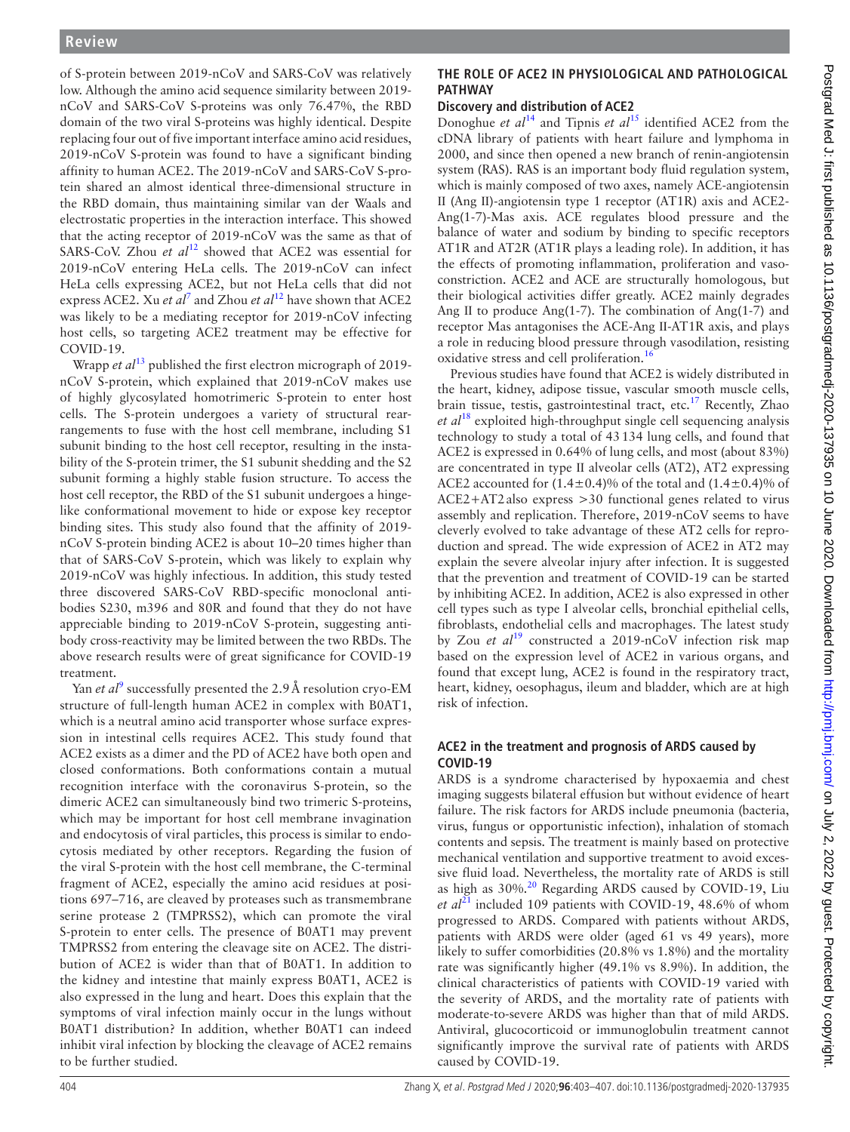of S-protein between 2019-nCoV and SARS-CoV was relatively low. Although the amino acid sequence similarity between 2019 nCoV and SARS-CoV S-proteins was only 76.47%, the RBD domain of the two viral S-proteins was highly identical. Despite replacing four out of five important interface amino acid residues, 2019-nCoV S-protein was found to have a significant binding affinity to human ACE2. The 2019-nCoV and SARS-CoV S-protein shared an almost identical three-dimensional structure in the RBD domain, thus maintaining similar van der Waals and electrostatic properties in the interaction interface. This showed that the acting receptor of 2019-nCoV was the same as that of SARS-CoV. Zhou *et al*<sup>12</sup> showed that ACE2 was essential for 2019-nCoV entering HeLa cells. The 2019-nCoV can infect HeLa cells expressing ACE2, but not HeLa cells that did not express ACE2. Xu *et al*<sup>[7](#page-4-6)</sup> and Zhou *et al*<sup>12</sup> have shown that ACE2 was likely to be a mediating receptor for 2019-nCoV infecting host cells, so targeting ACE2 treatment may be effective for COVID-19.

Wrapp *et al*<sup>13</sup> published the first electron micrograph of 2019nCoV S-protein, which explained that 2019-nCoV makes use of highly glycosylated homotrimeric S-protein to enter host cells. The S-protein undergoes a variety of structural rearrangements to fuse with the host cell membrane, including S1 subunit binding to the host cell receptor, resulting in the instability of the S-protein trimer, the S1 subunit shedding and the S2 subunit forming a highly stable fusion structure. To access the host cell receptor, the RBD of the S1 subunit undergoes a hingelike conformational movement to hide or expose key receptor binding sites. This study also found that the affinity of 2019 nCoV S-protein binding ACE2 is about 10–20 times higher than that of SARS-CoV S-protein, which was likely to explain why 2019-nCoV was highly infectious. In addition, this study tested three discovered SARS-CoV RBD-specific monoclonal antibodies S230, m396 and 80R and found that they do not have appreciable binding to 2019-nCoV S-protein, suggesting antibody cross-reactivity may be limited between the two RBDs. The above research results were of great significance for COVID-19 treatment.

Yan *et al*<sup>[9](#page-4-8)</sup> successfully presented the 2.9 Å resolution cryo-EM structure of full-length human ACE2 in complex with B0AT1, which is a neutral amino acid transporter whose surface expression in intestinal cells requires ACE2. This study found that ACE2 exists as a dimer and the PD of ACE2 have both open and closed conformations. Both conformations contain a mutual recognition interface with the coronavirus S-protein, so the dimeric ACE2 can simultaneously bind two trimeric S-proteins, which may be important for host cell membrane invagination and endocytosis of viral particles, this process is similar to endocytosis mediated by other receptors. Regarding the fusion of the viral S-protein with the host cell membrane, the C-terminal fragment of ACE2, especially the amino acid residues at positions 697–716, are cleaved by proteases such as transmembrane serine protease 2 (TMPRSS2), which can promote the viral S-protein to enter cells. The presence of B0AT1 may prevent TMPRSS2 from entering the cleavage site on ACE2. The distribution of ACE2 is wider than that of B0AT1. In addition to the kidney and intestine that mainly express B0AT1, ACE2 is also expressed in the lung and heart. Does this explain that the symptoms of viral infection mainly occur in the lungs without B0AT1 distribution? In addition, whether B0AT1 can indeed inhibit viral infection by blocking the cleavage of ACE2 remains to be further studied.

#### **THE ROLE OF ACE2 IN PHYSIOLOGICAL AND PATHOLOGICAL pat hway**

# **Discovery and distribution of ACE2**

Donoghue *et al*<sup>[14](#page-4-13)</sup> and Tipnis *et al*<sup>[15](#page-4-14)</sup> identified ACE2 from the cDNA library of patients with heart failure and lymphoma in 2000, and since then opened a new branch of renin-angiotensin system (RAS). RAS is an important body fluid regulation system, which is mainly composed of two axes, namely ACE-angiotensin Ⅱ (Ang Ⅱ)-angiotensin type 1 receptor (AT1R) axis and ACE2- Ang(1-7)-Mas axis. ACE regulates blood pressure and the balance of water and sodium by binding to specific receptors AT1R and AT2R (AT1R plays a leading role). In addition, it has the effects of promoting inflammation, proliferation and vasoconstriction. ACE2 and ACE are structurally homologous, but their biological activities differ greatly. ACE2 mainly degrades Ang II to produce Ang(1-7). The combination of Ang(1-7) and receptor Mas antagonises the ACE-Ang Ⅱ-AT1R axis, and plays a role in reducing blood pressure through vasodilation, resisting oxidative stress and cell proliferation.<sup>[16](#page-4-15)</sup>

Previous studies have found that ACE2 is widely distributed in the heart, kidney, adipose tissue, vascular smooth muscle cells, brain tissue, testis, gastrointestinal tract, etc.<sup>[17](#page-4-16)</sup> Recently, Zhao *et al*[18](#page-4-17) exploited high-throughput single cell sequencing analysis technology to study a total of 43134 lung cells, and found that ACE2 is expressed in 0.64% of lung cells, and most (about 83%) are concentrated in type Ⅱ alveolar cells (AT2), AT2 expressing ACE2 accounted for  $(1.4\pm0.4)\%$  of the total and  $(1.4\pm0.4)\%$  of ACE2+AT2also express >30 functional genes related to virus assembly and replication. Therefore, 2019-nCoV seems to have cleverly evolved to take advantage of these AT2 cells for reproduction and spread. The wide expression of ACE2 in AT2 may explain the severe alveolar injury after infection. It is suggested that the prevention and treatment of COVID-19 can be started by inhibiting ACE2. In addition, ACE2 is also expressed in other cell types such as type I alveolar cells, bronchial epithelial cells, fibroblasts, endothelial cells and macrophages. The latest study by Zou *et al*<sup>[19](#page-4-18)</sup> constructed a 2019-nCoV infection risk map based on the expression level of ACE2 in various organs, and found that except lung, ACE2 is found in the respiratory tract, heart, kidney, oesophagus, ileum and bladder, which are at high risk of infection.

## **ACE2 in the treatment and prognosis of ARDS caused by COVID-19**

ARDS is a syndrome characterised by hypoxaemia and chest imaging suggests bilateral effusion but without evidence of heart failure. The risk factors for ARDS include pneumonia (bacteria, virus, fungus or opportunistic infection), inhalation of stomach contents and sepsis. The treatment is mainly based on protective mechanical ventilation and supportive treatment to avoid excessive fluid load. Nevertheless, the mortality rate of ARDS is still as high as 30%.<sup>[20](#page-4-19)</sup> Regarding ARDS caused by COVID-19, Liu *et al*<sup>[21](#page-4-20)</sup> included 109 patients with COVID-19, 48.6% of whom progressed to ARDS. Compared with patients without ARDS, patients with ARDS were older (aged 61 vs 49 years), more likely to suffer comorbidities (20.8% vs 1.8%) and the mortality rate was significantly higher (49.1% vs 8.9%). In addition, the clinical characteristics of patients with COVID-19 varied with the severity of ARDS, and the mortality rate of patients with moderate-to-severe ARDS was higher than that of mild ARDS. Antiviral, glucocorticoid or immunoglobulin treatment cannot significantly improve the survival rate of patients with ARDS caused by COVID-19.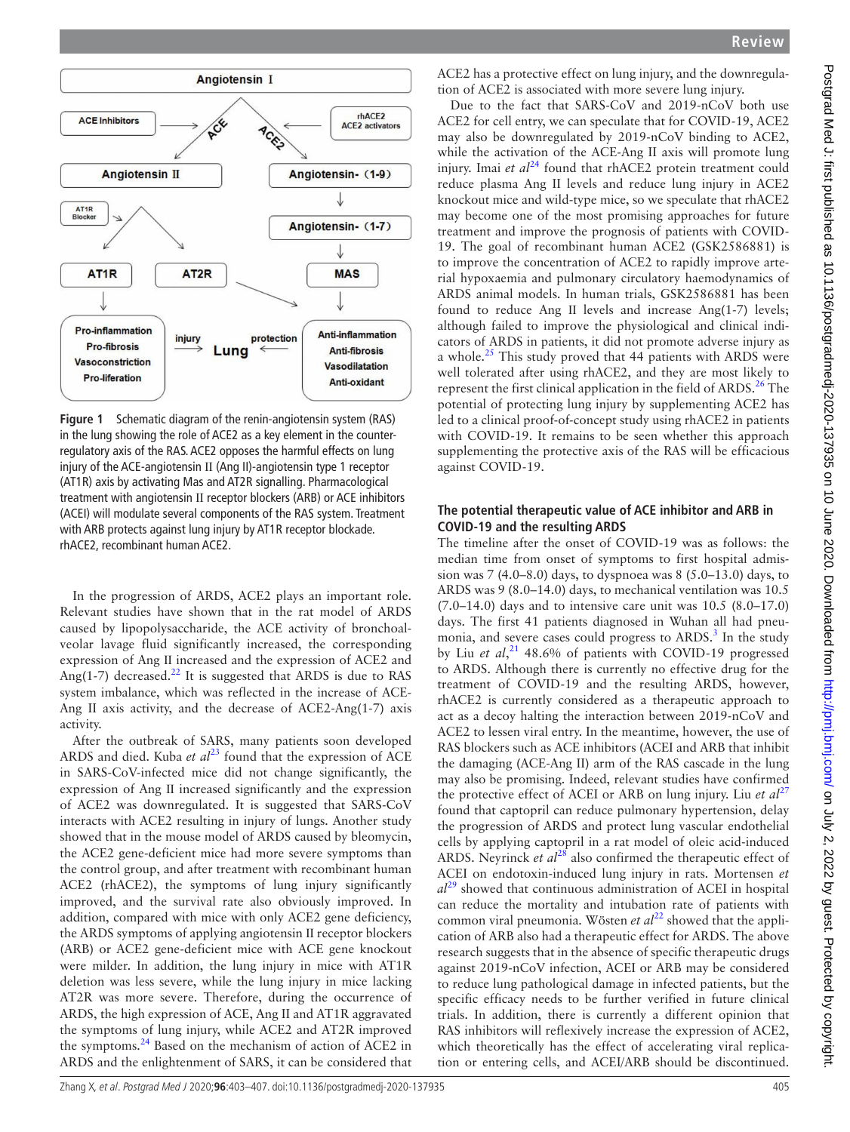

<span id="page-2-0"></span>**Figure 1** Schematic diagram of the renin-angiotensin system (RAS) in the lung showing the role of ACE2 as a key element in the counterregulatory axis of the RAS. ACE2 opposes the harmful effects on lung injury of the ACE-angiotensin Ⅱ (Ang II)-angiotensin type 1 receptor (AT1R) axis by activating Mas and AT2R signalling. Pharmacological treatment with angiotensin Ⅱ receptor blockers (ARB) or ACE inhibitors (ACEI) will modulate several components of the RAS system. Treatment with ARB protects against lung injury by AT1R receptor blockade. rhACE2, recombinant human ACE2.

In the progression of ARDS, ACE2 plays an important role. Relevant studies have shown that in the rat model of ARDS caused by lipopolysaccharide, the ACE activity of bronchoalveolar lavage fluid significantly increased, the corresponding expression of Ang Ⅱ increased and the expression of ACE2 and Ang(1-7) decreased.<sup>22</sup> It is suggested that ARDS is due to RAS system imbalance, which was reflected in the increase of ACE-Ang II axis activity, and the decrease of ACE2-Ang(1-7) axis activity.

After the outbreak of SARS, many patients soon developed ARDS and died. Kuba *et al*<sup>[23](#page-4-22)</sup> found that the expression of ACE in SARS-CoV-infected mice did not change significantly, the expression of Ang Ⅱ increased significantly and the expression of ACE2 was downregulated. It is suggested that SARS-CoV interacts with ACE2 resulting in injury of lungs. Another study showed that in the mouse model of ARDS caused by bleomycin, the ACE2 gene-deficient mice had more severe symptoms than the control group, and after treatment with recombinant human ACE2 (rhACE2), the symptoms of lung injury significantly improved, and the survival rate also obviously improved. In addition, compared with mice with only ACE2 gene deficiency, the ARDS symptoms of applying angiotensin Ⅱ receptor blockers (ARB) or ACE2 gene-deficient mice with ACE gene knockout were milder. In addition, the lung injury in mice with AT1R deletion was less severe, while the lung injury in mice lacking AT2R was more severe. Therefore, during the occurrence of ARDS, the high expression of ACE, Ang II and AT1R aggravated the symptoms of lung injury, while ACE2 and AT2R improved the symptoms.<sup>[24](#page-4-23)</sup> Based on the mechanism of action of ACE2 in ARDS and the enlightenment of SARS, it can be considered that

ACE2 has a protective effect on lung injury, and the downregulation of ACE2 is associated with more severe lung injury.

Due to the fact that SARS-CoV and 2019-nCoV both use ACE2 for cell entry, we can speculate that for COVID-19, ACE2 may also be downregulated by 2019-nCoV binding to ACE2, while the activation of the ACE-Ang II axis will promote lung injury. Imai *et al*<sup>[24](#page-4-23)</sup> found that rhACE2 protein treatment could reduce plasma Ang II levels and reduce lung injury in ACE2 knockout mice and wild-type mice, so we speculate that rhACE2 may become one of the most promising approaches for future treatment and improve the prognosis of patients with COVID-19. The goal of recombinant human ACE2 (GSK2586881) is to improve the concentration of ACE2 to rapidly improve arterial hypoxaemia and pulmonary circulatory haemodynamics of ARDS animal models. In human trials, GSK2586881 has been found to reduce Ang II levels and increase Ang(1-7) levels; although failed to improve the physiological and clinical indicators of ARDS in patients, it did not promote adverse injury as a whole. $^{25}$  This study proved that 44 patients with ARDS were well tolerated after using rhACE2, and they are most likely to represent the first clinical application in the field of ARDS. $^{26}$  The potential of protecting lung injury by supplementing ACE2 has led to a clinical proof-of-concept study using rhACE2 in patients with COVID-19. It remains to be seen whether this approach supplementing the protective axis of the RAS will be efficacious against COVID-19.

#### **The potential therapeutic value of ACE inhibitor and ARB in COVID-19 and the resulting ARDS**

The timeline after the onset of COVID-19 was as follows: the median time from onset of symptoms to first hospital admission was 7 (4.0–8.0) days, to dyspnoea was 8 (5.0–13.0) days, to ARDS was 9 (8.0–14.0) days, to mechanical ventilation was 10.5  $(7.0-14.0)$  days and to intensive care unit was  $10.5$   $(8.0-17.0)$ days. The first 41 patients diagnosed in Wuhan all had pneu-monia, and severe cases could progress to ARDS.<sup>[3](#page-4-2)</sup> In the study by Liu *et al*, [21](#page-4-20) 48.6% of patients with COVID-19 progressed to ARDS. Although there is currently no effective drug for the treatment of COVID-19 and the resulting ARDS, however, rhACE2 is currently considered as a therapeutic approach to act as a decoy halting the interaction between 2019-nCoV and ACE2 to lessen viral entry. In the meantime, however, the use of RAS blockers such as ACE inhibitors (ACEI and ARB that inhibit the damaging (ACE-Ang II) arm of the RAS cascade in the lung may also be promising. Indeed, relevant studies have confirmed the protective effect of ACEI or ARB on lung injury. Liu *et al*<sup>[27](#page-4-26)</sup> found that captopril can reduce pulmonary hypertension, delay the progression of ARDS and protect lung vascular endothelial cells by applying captopril in a rat model of oleic acid-induced ARDS. Neyrinck *et al*<sup>[28](#page-4-27)</sup> also confirmed the therapeutic effect of ACEI on endotoxin-induced lung injury in rats. Mortensen *et al*[29](#page-4-28) showed that continuous administration of ACEI in hospital can reduce the mortality and intubation rate of patients with common viral pneumonia. Wösten *et al*<sup>[22](#page-4-21)</sup> showed that the application of ARB also had a therapeutic effect for ARDS. The above research suggests that in the absence of specific therapeutic drugs against 2019-nCoV infection, ACEI or ARB may be considered to reduce lung pathological damage in infected patients, but the specific efficacy needs to be further verified in future clinical trials. In addition, there is currently a different opinion that RAS inhibitors will reflexively increase the expression of ACE2, which theoretically has the effect of accelerating viral replication or entering cells, and ACEI/ARB should be discontinued.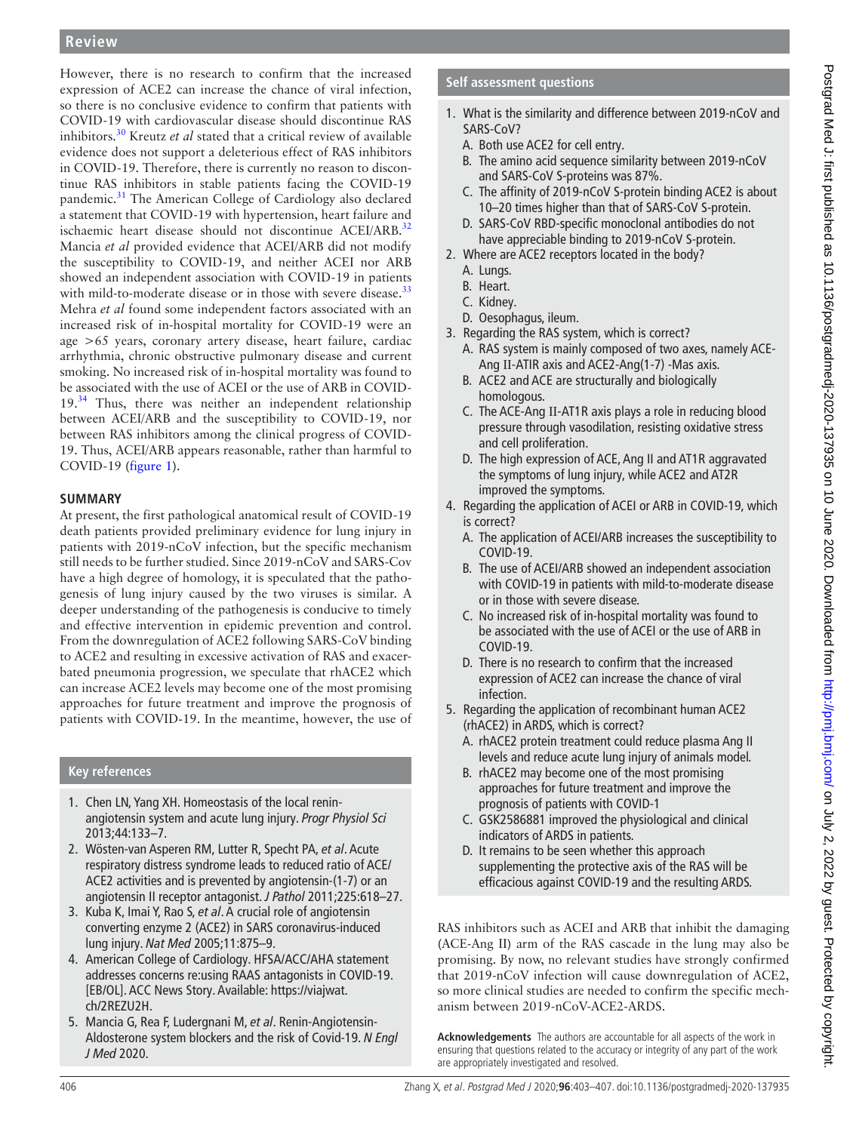#### **Review**

However, there is no research to confirm that the increased expression of ACE2 can increase the chance of viral infection, so there is no conclusive evidence to confirm that patients with COVID-19 with cardiovascular disease should discontinue RAS inhibitors.[30](#page-4-29) Kreutz *et al* stated that a critical review of available evidence does not support a deleterious effect of RAS inhibitors in COVID-19. Therefore, there is currently no reason to discontinue RAS inhibitors in stable patients facing the COVID-19 pandemic.<sup>[31](#page-4-30)</sup> The American College of Cardiology also declared a statement that COVID-19 with hypertension, heart failure and ischaemic heart disease should not discontinue ACEI/ARB.<sup>[32](#page-4-31)</sup> Mancia *et al* provided evidence that ACEI/ARB did not modify the susceptibility to COVID-19, and neither ACEI nor ARB showed an independent association with COVID-19 in patients with mild-to-moderate disease or in those with severe disease.<sup>[33](#page-4-32)</sup> Mehra *et al* found some independent factors associated with an increased risk of in-hospital mortality for COVID-19 were an age >65 years, coronary artery disease, heart failure, cardiac arrhythmia, chronic obstructive pulmonary disease and current smoking. No increased risk of in-hospital mortality was found to be associated with the use of ACEI or the use of ARB in COVID- $19.^{34}$  $19.^{34}$  $19.^{34}$  Thus, there was neither an independent relationship between ACEI/ARB and the susceptibility to COVID-19, nor between RAS inhibitors among the clinical progress of COVID-19. Thus, ACEI/ARB appears reasonable, rather than harmful to COVID-19 ([figure](#page-2-0) 1).

#### **Summary**

At present, the first pathological anatomical result of COVID-19 death patients provided preliminary evidence for lung injury in patients with 2019-nCoV infection, but the specific mechanism still needs to be further studied. Since 2019-nCoV and SARS-Cov have a high degree of homology, it is speculated that the pathogenesis of lung injury caused by the two viruses is similar. A deeper understanding of the pathogenesis is conducive to timely and effective intervention in epidemic prevention and control. From the downregulation of ACE2 following SARS-CoV binding to ACE2 and resulting in excessive activation of RAS and exacerbated pneumonia progression, we speculate that rhACE2 which can increase ACE2 levels may become one of the most promising approaches for future treatment and improve the prognosis of patients with COVID‐19. In the meantime, however, the use of

#### **Key references**

- 1. Chen LN, Yang XH. Homeostasis of the local reninangiotensin system and acute lung injury. *Progr Physiol Sci* 2013;44:133–7.
- 2. Wösten-van Asperen RM, Lutter R, Specht PA, *et al*. Acute respiratory distress syndrome leads to reduced ratio of ACE/ ACE2 activities and is prevented by angiotensin-(1-7) or an angiotensin II receptor antagonist. *J Pathol* 2011;225:618–27.
- 3. Kuba K, Imai Y, Rao S, *et al*. A crucial role of angiotensin converting enzyme 2 (ACE2) in SARS coronavirus-induced lung injury. *Nat Med* 2005;11:875–9.
- 4. American College of Cardiology. HFSA/ACC/AHA statement addresses concerns re:using RAAS antagonists in COVID-19. [EB/OL]. ACC News Story. Available: [https://viajwat.](https://viajwat.ch/2REZU2H) [ch/2REZU2H.](https://viajwat.ch/2REZU2H)
- 5. Mancia G, Rea F, Ludergnani M, *et al*. Renin-Angiotensin-Aldosterone system blockers and the risk of Covid-19. *N Engl J Med* 2020.

#### **Self assessment questions**

- 1. What is the similarity and difference between 2019-nCoV and SARS-CoV?
	- A. Both use ACE2 for cell entry.
	- B. The amino acid sequence similarity between 2019-nCoV and SARS-CoV S-proteins was 87%.
	- C. The affinity of 2019-nCoV S-protein binding ACE2 is about 10–20 times higher than that of SARS-CoV S-protein.
	- D. SARS-CoV RBD-specific monoclonal antibodies do not have appreciable binding to 2019-nCoV S-protein.
- 2. Where are ACE2 receptors located in the body?
	- A. Lungs.
	- B. Heart.
	- C. Kidney.
	- D. Oesophagus, ileum.
- 3. Regarding the RAS system, which is correct?
	- A. RAS system is mainly composed of two axes, namely ACE-Ang Ⅱ-ATIR axis and ACE2-Ang(1-7) -Mas axis.
	- B. ACE2 and ACE are structurally and biologically homologous.
	- C. The ACE-Ang Ⅱ-AT1R axis plays a role in reducing blood pressure through vasodilation, resisting oxidative stress and cell proliferation.
	- D. The high expression of ACE, Ang II and AT1R aggravated the symptoms of lung injury, while ACE2 and AT2R improved the symptoms.
- 4. Regarding the application of ACEI or ARB in COVID-19, which is correct?
	- A. The application of ACEI/ARB increases the susceptibility to COVID-19.
	- B. The use of ACEI/ARB showed an independent association with COVID-19 in patients with mild-to-moderate disease or in those with severe disease.
	- C. No increased risk of in-hospital mortality was found to be associated with the use of ACEI or the use of ARB in COVID-19.
	- D. There is no research to confirm that the increased expression of ACE2 can increase the chance of viral infection.
- 5. Regarding the application of recombinant human ACE2 (rhACE2) in ARDS, which is correct?
	- A. rhACE2 protein treatment could reduce plasma Ang II levels and reduce acute lung injury of animals model.
	- B. rhACE2 may become one of the most promising approaches for future treatment and improve the prognosis of patients with COVID-1
	- C. GSK2586881 improved the physiological and clinical indicators of ARDS in patients.
	- D. It remains to be seen whether this approach supplementing the protective axis of the RAS will be efficacious against COVID-19 and the resulting ARDS.

RAS inhibitors such as ACEI and ARB that inhibit the damaging (ACE-Ang II) arm of the RAS cascade in the lung may also be promising. By now, no relevant studies have strongly confirmed that 2019-nCoV infection will cause downregulation of ACE2, so more clinical studies are needed to confirm the specific mechanism between 2019-nCoV-ACE2-ARDS.

**Acknowledgements** The authors are accountable for all aspects of the work in ensuring that questions related to the accuracy or integrity of any part of the work are appropriately investigated and resolved.